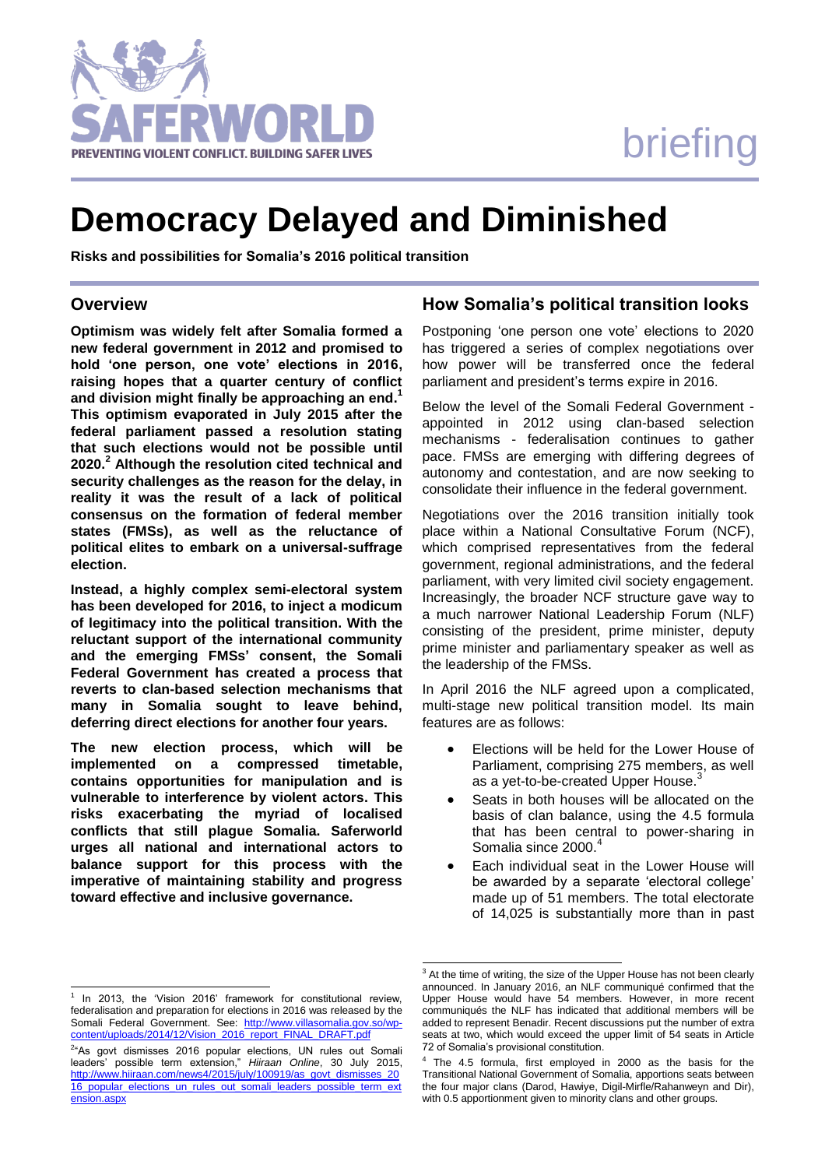# briefing



## **Democracy Delayed and Diminished**

**Risks and possibilities for Somalia's 2016 political transition**

#### **Overview**

**Optimism was widely felt after Somalia formed a new federal government in 2012 and promised to hold 'one person, one vote' elections in 2016, raising hopes that a quarter century of conflict and division might finally be approaching an end. 1 This optimism evaporated in July 2015 after the federal parliament passed a resolution stating that such elections would not be possible until 2020. <sup>2</sup> Although the resolution cited technical and security challenges as the reason for the delay, in reality it was the result of a lack of political consensus on the formation of federal member states (FMSs), as well as the reluctance of political elites to embark on a universal-suffrage election.** 

**Instead, a highly complex semi-electoral system has been developed for 2016, to inject a modicum of legitimacy into the political transition. With the reluctant support of the international community and the emerging FMSs' consent, the Somali Federal Government has created a process that reverts to clan-based selection mechanisms that many in Somalia sought to leave behind, deferring direct elections for another four years.** 

**The new election process, which will be implemented on a compressed timetable, contains opportunities for manipulation and is vulnerable to interference by violent actors. This risks exacerbating the myriad of localised conflicts that still plague Somalia. Saferworld urges all national and international actors to balance support for this process with the imperative of maintaining stability and progress toward effective and inclusive governance.** 

#### 1 In 2013, the 'Vision 2016' framework for constitutional review, federalisation and preparation for elections in 2016 was released by the Somali Federal Government. See: [http://www.villasomalia.gov.so/wp](http://www.villasomalia.gov.so/wp-content/uploads/2014/12/Vision_2016_report_FINAL_DRAFT.pdf)[content/uploads/2014/12/Vision\\_2016\\_report\\_FINAL\\_DRAFT.pdf](http://www.villasomalia.gov.so/wp-content/uploads/2014/12/Vision_2016_report_FINAL_DRAFT.pdf)

l

### **How Somalia's political transition looks**

Postponing 'one person one vote' elections to 2020 has triggered a series of complex negotiations over how power will be transferred once the federal parliament and president's terms expire in 2016.

Below the level of the Somali Federal Government appointed in 2012 using clan-based selection mechanisms - federalisation continues to gather pace. FMSs are emerging with differing degrees of autonomy and contestation, and are now seeking to consolidate their influence in the federal government.

Negotiations over the 2016 transition initially took place within a National Consultative Forum (NCF), which comprised representatives from the federal government, regional administrations, and the federal parliament, with very limited civil society engagement. Increasingly, the broader NCF structure gave way to a much narrower National Leadership Forum (NLF) consisting of the president, prime minister, deputy prime minister and parliamentary speaker as well as the leadership of the FMSs.

In April 2016 the NLF agreed upon a complicated, multi-stage new political transition model. Its main features are as follows:

- Elections will be held for the Lower House of Parliament, comprising 275 members, as well as a yet-to-be-created Upper House.<sup>3</sup>
- Seats in both houses will be allocated on the basis of clan balance, using the 4.5 formula that has been central to power-sharing in Somalia since 2000.<sup>4</sup>
- Each individual seat in the Lower House will be awarded by a separate 'electoral college' made up of 51 members. The total electorate of 14,025 is substantially more than in past

l

<sup>&</sup>lt;sup>2</sup>"As govt dismisses 2016 popular elections, UN rules out Somali leaders' possible term extension," *Hiiraan Online*, 30 July 2015, [http://www.hiiraan.com/news4/2015/july/100919/as\\_govt\\_dismisses\\_20](http://www.hiiraan.com/news4/2015/july/100919/as_govt_dismisses_2016_popular_elections_un_rules_out_somali_leaders_possible_term_extension.aspx) [16\\_popular\\_elections\\_un\\_rules\\_out\\_somali\\_leaders\\_possible\\_term\\_ext](http://www.hiiraan.com/news4/2015/july/100919/as_govt_dismisses_2016_popular_elections_un_rules_out_somali_leaders_possible_term_extension.aspx) [ension.aspx](http://www.hiiraan.com/news4/2015/july/100919/as_govt_dismisses_2016_popular_elections_un_rules_out_somali_leaders_possible_term_extension.aspx)

 $3$  At the time of writing, the size of the Upper House has not been clearly announced. In January 2016, an NLF communiqué confirmed that the Upper House would have 54 members. However, in more recent communiqués the NLF has indicated that additional members will be added to represent Benadir. Recent discussions put the number of extra seats at two, which would exceed the upper limit of 54 seats in Article 72 of Somalia's provisional constitution.

<sup>&</sup>lt;sup>4</sup> The 4.5 formula, first employed in 2000 as the basis for the Transitional National Government of Somalia, apportions seats between the four major clans (Darod, Hawiye, Digil-Mirfle/Rahanweyn and Dir), with 0.5 apportionment given to minority clans and other groups.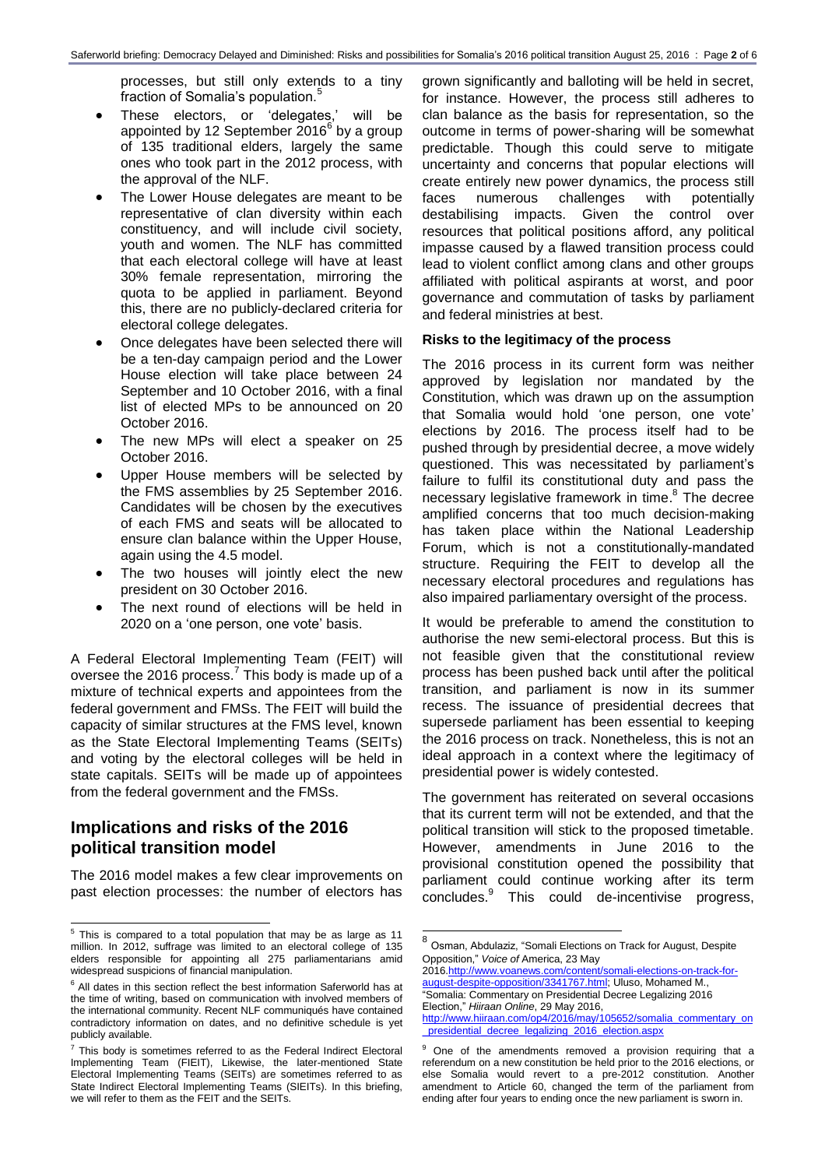processes, but still only extends to a tiny fraction of Somalia's population.<sup>5</sup>

- These electors, or 'delegates,' will be appointed by 12 September 2016 $^6$  by a group of 135 traditional elders, largely the same ones who took part in the 2012 process, with the approval of the NLF.
- The Lower House delegates are meant to be representative of clan diversity within each constituency, and will include civil society, youth and women. The NLF has committed that each electoral college will have at least 30% female representation, mirroring the quota to be applied in parliament. Beyond this, there are no publicly-declared criteria for electoral college delegates.
- Once delegates have been selected there will be a ten-day campaign period and the Lower House election will take place between 24 September and 10 October 2016, with a final list of elected MPs to be announced on 20 October 2016.
- The new MPs will elect a speaker on 25 October 2016.
- Upper House members will be selected by the FMS assemblies by 25 September 2016. Candidates will be chosen by the executives of each FMS and seats will be allocated to ensure clan balance within the Upper House, again using the 4.5 model.
- The two houses will jointly elect the new president on 30 October 2016.
- The next round of elections will be held in 2020 on a 'one person, one vote' basis.

A Federal Electoral Implementing Team (FEIT) will oversee the 2016 process.<sup>7</sup> This body is made up of a mixture of technical experts and appointees from the federal government and FMSs. The FEIT will build the capacity of similar structures at the FMS level, known as the State Electoral Implementing Teams (SEITs) and voting by the electoral colleges will be held in state capitals. SEITs will be made up of appointees from the federal government and the FMSs.

#### **Implications and risks of the 2016 political transition model**

The 2016 model makes a few clear improvements on past election processes: the number of electors has

grown significantly and balloting will be held in secret, for instance. However, the process still adheres to clan balance as the basis for representation, so the outcome in terms of power-sharing will be somewhat predictable. Though this could serve to mitigate uncertainty and concerns that popular elections will create entirely new power dynamics, the process still faces numerous challenges with potentially destabilising impacts. Given the control over resources that political positions afford, any political impasse caused by a flawed transition process could lead to violent conflict among clans and other groups affiliated with political aspirants at worst, and poor governance and commutation of tasks by parliament and federal ministries at best.

#### **Risks to the legitimacy of the process**

The 2016 process in its current form was neither approved by legislation nor mandated by the Constitution, which was drawn up on the assumption that Somalia would hold 'one person, one vote' elections by 2016. The process itself had to be pushed through by presidential decree, a move widely questioned. This was necessitated by parliament's failure to fulfil its constitutional duty and pass the necessary legislative framework in time.<sup>8</sup> The decree amplified concerns that too much decision-making has taken place within the National Leadership Forum, which is not a constitutionally-mandated structure. Requiring the FEIT to develop all the necessary electoral procedures and regulations has also impaired parliamentary oversight of the process.

It would be preferable to amend the constitution to authorise the new semi-electoral process. But this is not feasible given that the constitutional review process has been pushed back until after the political transition, and parliament is now in its summer recess. The issuance of presidential decrees that supersede parliament has been essential to keeping the 2016 process on track. Nonetheless, this is not an ideal approach in a context where the legitimacy of presidential power is widely contested.

The government has reiterated on several occasions that its current term will not be extended, and that the political transition will stick to the proposed timetable. However, amendments in June 2016 to the provisional constitution opened the possibility that parliament could continue working after its term concludes.<sup>9</sup> This could de-incentivise progress,

 $\overline{a}$ 

201[6.http://www.voanews.com/content/somali-elections-on-track-for](http://www.voanews.com/content/somali-elections-on-track-for-august-despite-opposition/3341767.html)[august-despite-opposition/3341767.html;](http://www.voanews.com/content/somali-elections-on-track-for-august-despite-opposition/3341767.html) Uluso, Mohamed M., "Somalia: Commentary on Presidential Decree Legalizing 2016 Election," *Hiiraan Online*, 29 May 2016, [http://www.hiiraan.com/op4/2016/may/105652/somalia\\_commentary\\_on](http://www.hiiraan.com/op4/2016/may/105652/somalia_commentary_on_presidential_decree_legalizing_2016_election.aspx)

 5 This is compared to a total population that may be as large as 11 million. In 2012, suffrage was limited to an electoral college of 135 elders responsible for appointing all 275 parliamentarians amid widespread suspicions of financial manipulation.

 $6$  All dates in this section reflect the best information Saferworld has at the time of writing, based on communication with involved members of the international community. Recent NLF communiqués have contained contradictory information on dates, and no definitive schedule is yet publicly available.

 $7$  This body is sometimes referred to as the Federal Indirect Electoral Implementing Team (FIEIT), Likewise, the later-mentioned State Electoral Implementing Teams (SEITs) are sometimes referred to as State Indirect Electoral Implementing Teams (SIEITs). In this briefing, we will refer to them as the FEIT and the SEITs.

<sup>8&</sup>lt;br><sup>8</sup> Osman, Abdulaziz, "Somali Elections on Track for August, Despite Opposition," *Voice of* America, 23 May

[\\_presidential\\_decree\\_legalizing\\_2016\\_election.aspx](http://www.hiiraan.com/op4/2016/may/105652/somalia_commentary_on_presidential_decree_legalizing_2016_election.aspx)

<sup>&</sup>lt;sup>9</sup> One of the amendments removed a provision requiring that a referendum on a new constitution be held prior to the 2016 elections, or else Somalia would revert to a pre-2012 constitution. Another amendment to Article 60, changed the term of the parliament from ending after four years to ending once the new parliament is sworn in.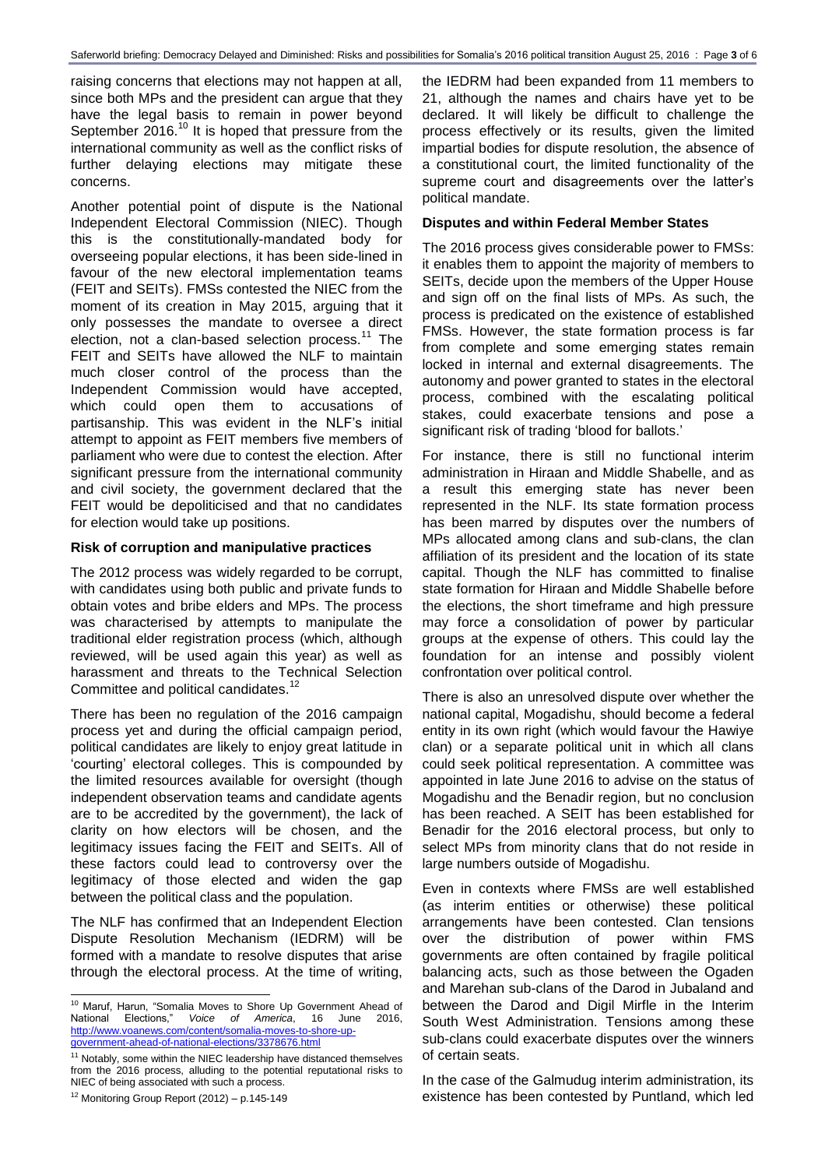raising concerns that elections may not happen at all, since both MPs and the president can argue that they have the legal basis to remain in power beyond September 2016. $10$  It is hoped that pressure from the international community as well as the conflict risks of further delaying elections may mitigate these concerns.

Another potential point of dispute is the National Independent Electoral Commission (NIEC). Though this is the constitutionally-mandated body for overseeing popular elections, it has been side-lined in favour of the new electoral implementation teams (FEIT and SEITs). FMSs contested the NIEC from the moment of its creation in May 2015, arguing that it only possesses the mandate to oversee a direct election, not a clan-based selection process.<sup>11</sup> The FEIT and SEITs have allowed the NLF to maintain much closer control of the process than the Independent Commission would have accepted, which could open them to accusations of partisanship. This was evident in the NLF's initial attempt to appoint as FEIT members five members of parliament who were due to contest the election. After significant pressure from the international community and civil society, the government declared that the FEIT would be depoliticised and that no candidates for election would take up positions.

#### **Risk of corruption and manipulative practices**

The 2012 process was widely regarded to be corrupt, with candidates using both public and private funds to obtain votes and bribe elders and MPs. The process was characterised by attempts to manipulate the traditional elder registration process (which, although reviewed, will be used again this year) as well as harassment and threats to the Technical Selection Committee and political candidates.<sup>12</sup>

There has been no regulation of the 2016 campaign process yet and during the official campaign period, political candidates are likely to enjoy great latitude in 'courting' electoral colleges. This is compounded by the limited resources available for oversight (though independent observation teams and candidate agents are to be accredited by the government), the lack of clarity on how electors will be chosen, and the legitimacy issues facing the FEIT and SEITs. All of these factors could lead to controversy over the legitimacy of those elected and widen the gap between the political class and the population.

The NLF has confirmed that an Independent Election Dispute Resolution Mechanism (IEDRM) will be formed with a mandate to resolve disputes that arise through the electoral process. At the time of writing,

 $12$  Monitoring Group Report (2012) – p.145-149

the IEDRM had been expanded from 11 members to 21, although the names and chairs have yet to be declared. It will likely be difficult to challenge the process effectively or its results, given the limited impartial bodies for dispute resolution, the absence of a constitutional court, the limited functionality of the supreme court and disagreements over the latter's political mandate.

#### **Disputes and within Federal Member States**

The 2016 process gives considerable power to FMSs: it enables them to appoint the majority of members to SEITs, decide upon the members of the Upper House and sign off on the final lists of MPs. As such, the process is predicated on the existence of established FMSs. However, the state formation process is far from complete and some emerging states remain locked in internal and external disagreements. The autonomy and power granted to states in the electoral process, combined with the escalating political stakes, could exacerbate tensions and pose a significant risk of trading 'blood for ballots.'

For instance, there is still no functional interim administration in Hiraan and Middle Shabelle, and as a result this emerging state has never been represented in the NLF. Its state formation process has been marred by disputes over the numbers of MPs allocated among clans and sub-clans, the clan affiliation of its president and the location of its state capital. Though the NLF has committed to finalise state formation for Hiraan and Middle Shabelle before the elections, the short timeframe and high pressure may force a consolidation of power by particular groups at the expense of others. This could lay the foundation for an intense and possibly violent confrontation over political control.

There is also an unresolved dispute over whether the national capital, Mogadishu, should become a federal entity in its own right (which would favour the Hawiye clan) or a separate political unit in which all clans could seek political representation. A committee was appointed in late June 2016 to advise on the status of Mogadishu and the Benadir region, but no conclusion has been reached. A SEIT has been established for Benadir for the 2016 electoral process, but only to select MPs from minority clans that do not reside in large numbers outside of Mogadishu.

Even in contexts where FMSs are well established (as interim entities or otherwise) these political arrangements have been contested. Clan tensions over the distribution of power within FMS governments are often contained by fragile political balancing acts, such as those between the Ogaden and Marehan sub-clans of the Darod in Jubaland and between the Darod and Digil Mirfle in the Interim South West Administration. Tensions among these sub-clans could exacerbate disputes over the winners of certain seats.

In the case of the Galmudug interim administration, its existence has been contested by Puntland, which led

l <sup>10</sup> Maruf, Harun, "Somalia Moves to Shore Up Government Ahead of National Elections," *Voice of America*, 16 June 2016, [http://www.voanews.com/content/somalia-moves-to-shore-up](http://www.voanews.com/content/somalia-moves-to-shore-up-government-ahead-of-national-elections/3378676.html)[government-ahead-of-national-elections/3378676.html](http://www.voanews.com/content/somalia-moves-to-shore-up-government-ahead-of-national-elections/3378676.html)

 $11$  Notably, some within the NIEC leadership have distanced themselves from the 2016 process, alluding to the potential reputational risks to NIEC of being associated with such a process.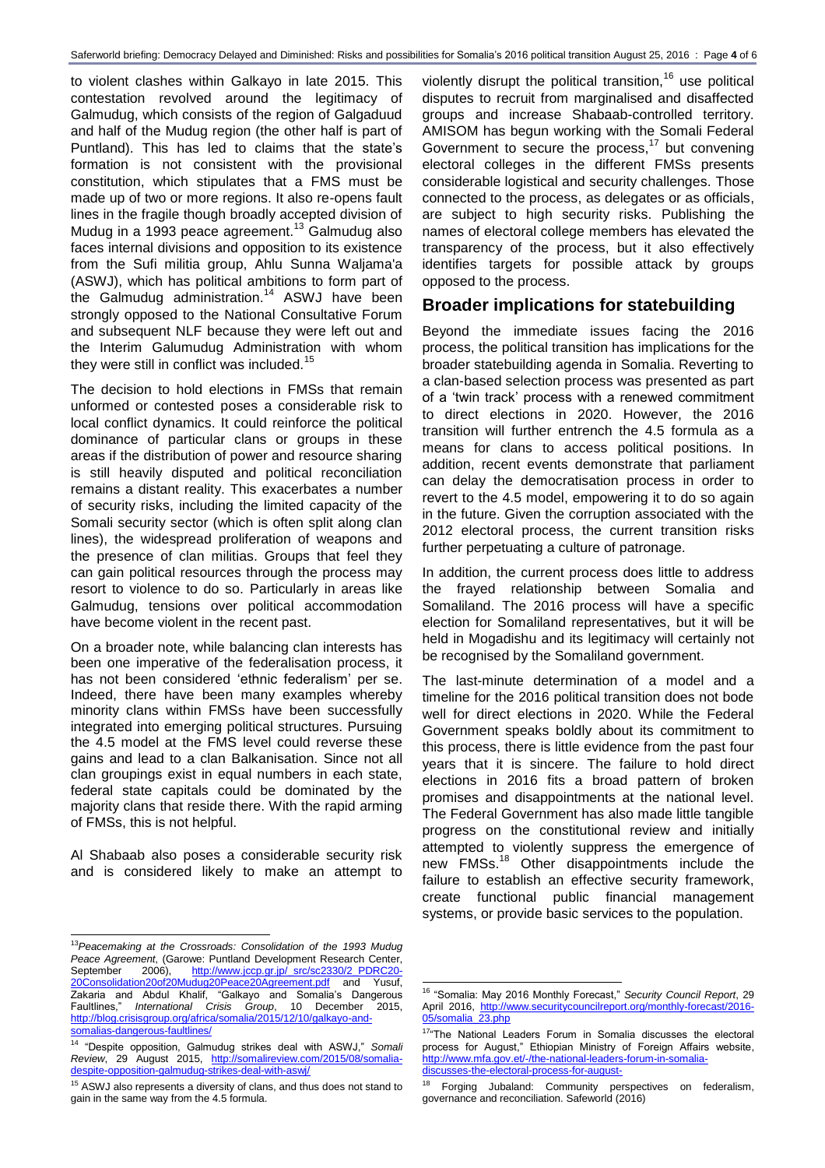to violent clashes within Galkayo in late 2015. This contestation revolved around the legitimacy of Galmudug, which consists of the region of Galgaduud and half of the Mudug region (the other half is part of Puntland). This has led to claims that the state's formation is not consistent with the provisional constitution, which stipulates that a FMS must be made up of two or more regions. It also re-opens fault lines in the fragile though broadly accepted division of Mudug in a 1993 peace agreement.<sup>13</sup> Galmudug also faces internal divisions and opposition to its existence from the Sufi militia group, Ahlu Sunna Waljama'a (ASWJ), which has political ambitions to form part of the Galmudug administration.<sup>14</sup> ASWJ have been strongly opposed to the National Consultative Forum and subsequent NLF because they were left out and the Interim Galumudug Administration with whom they were still in conflict was included.<sup>15</sup>

The decision to hold elections in FMSs that remain unformed or contested poses a considerable risk to local conflict dynamics. It could reinforce the political dominance of particular clans or groups in these areas if the distribution of power and resource sharing is still heavily disputed and political reconciliation remains a distant reality. This exacerbates a number of security risks, including the limited capacity of the Somali security sector (which is often split along clan lines), the widespread proliferation of weapons and the presence of clan militias. Groups that feel they can gain political resources through the process may resort to violence to do so. Particularly in areas like Galmudug, tensions over political accommodation have become violent in the recent past.

On a broader note, while balancing clan interests has been one imperative of the federalisation process, it has not been considered 'ethnic federalism' per se. Indeed, there have been many examples whereby minority clans within FMSs have been successfully integrated into emerging political structures. Pursuing the 4.5 model at the FMS level could reverse these gains and lead to a clan Balkanisation. Since not all clan groupings exist in equal numbers in each state, federal state capitals could be dominated by the majority clans that reside there. With the rapid arming of FMSs, this is not helpful.

Al Shabaab also poses a considerable security risk and is considered likely to make an attempt to

l <sup>13</sup>*Peacemaking at the Crossroads: Consolidation of the 1993 Mudug Peace Agreement*, (Garowe: Puntland Development Research Center, September 2006), <u>[http://www.jccp.gr.jp/\\_src/sc2330/2\\_PDRC20-](http://www.jccp.gr.jp/_src/sc2330/2_PDRC20-20Consolidation20of20Mudug20Peace20Agreement.pdf)</u> [20Consolidation20of20Mudug20Peace20Agreement.pdf](http://www.jccp.gr.jp/_src/sc2330/2_PDRC20-20Consolidation20of20Mudug20Peace20Agreement.pdf) and Yusuf, Zakaria and Abdul Khalif, "Galkayo and Somalia's Dangerous Faultlines," *International Crisis Group*, 10 December 2015, [http://blog.crisisgroup.org/africa/somalia/2015/12/10/galkayo-and](http://blog.crisisgroup.org/africa/somalia/2015/12/10/galkayo-and-somalias-dangerous-faultlines/)[somalias-dangerous-faultlines/](http://blog.crisisgroup.org/africa/somalia/2015/12/10/galkayo-and-somalias-dangerous-faultlines/)

violently disrupt the political transition,  $16$  use political disputes to recruit from marginalised and disaffected groups and increase Shabaab-controlled territory. AMISOM has begun working with the Somali Federal Government to secure the process,<sup>17</sup> but convening electoral colleges in the different FMSs presents considerable logistical and security challenges. Those connected to the process, as delegates or as officials, are subject to high security risks. Publishing the names of electoral college members has elevated the transparency of the process, but it also effectively identifies targets for possible attack by groups opposed to the process.

#### **Broader implications for statebuilding**

Beyond the immediate issues facing the 2016 process, the political transition has implications for the broader statebuilding agenda in Somalia. Reverting to a clan-based selection process was presented as part of a 'twin track' process with a renewed commitment to direct elections in 2020. However, the 2016 transition will further entrench the 4.5 formula as a means for clans to access political positions. In addition, recent events demonstrate that parliament can delay the democratisation process in order to revert to the 4.5 model, empowering it to do so again in the future. Given the corruption associated with the 2012 electoral process, the current transition risks further perpetuating a culture of patronage.

In addition, the current process does little to address the frayed relationship between Somalia and Somaliland. The 2016 process will have a specific election for Somaliland representatives, but it will be held in Mogadishu and its legitimacy will certainly not be recognised by the Somaliland government.

The last-minute determination of a model and a timeline for the 2016 political transition does not bode well for direct elections in 2020. While the Federal Government speaks boldly about its commitment to this process, there is little evidence from the past four years that it is sincere. The failure to hold direct elections in 2016 fits a broad pattern of broken promises and disappointments at the national level. The Federal Government has also made little tangible progress on the constitutional review and initially attempted to violently suppress the emergence of new FMSs.<sup>18</sup> Other disappointments include the failure to establish an effective security framework, create functional public financial management systems, or provide basic services to the population.

<sup>14</sup> "Despite opposition, Galmudug strikes deal with ASWJ," *Somali Review*, 29 August 2015, [http://somalireview.com/2015/08/somalia](http://somalireview.com/2015/08/somalia-despite-opposition-galmudug-strikes-deal-with-aswj/)[despite-opposition-galmudug-strikes-deal-with-aswj/](http://somalireview.com/2015/08/somalia-despite-opposition-galmudug-strikes-deal-with-aswj/)

<sup>&</sup>lt;sup>15</sup> ASWJ also represents a diversity of clans, and thus does not stand to gain in the same way from the 4.5 formula.

l <sup>16</sup> "Somalia: May 2016 Monthly Forecast," *Security Council Report*, 29 April 2016, [http://www.securitycouncilreport.org/monthly-forecast/2016-](http://www.securitycouncilreport.org/monthly-forecast/2016-05/somalia_23.php) [05/somalia\\_23.php](http://www.securitycouncilreport.org/monthly-forecast/2016-05/somalia_23.php)

<sup>17&</sup>quot;The National Leaders Forum in Somalia discusses the electoral process for August," Ethiopian Ministry of Foreign Affairs website, [http://www.mfa.gov.et/-/the-national-leaders-forum-in-somalia](http://www.mfa.gov.et/-/the-national-leaders-forum-in-somalia-discusses-the-electoral-process-for-august-)[discusses-the-electoral-process-for-august-](http://www.mfa.gov.et/-/the-national-leaders-forum-in-somalia-discusses-the-electoral-process-for-august-)

<sup>&</sup>lt;sup>18</sup> Forging Jubaland: Community perspectives on federalism, governance and reconciliation. Safeworld (2016)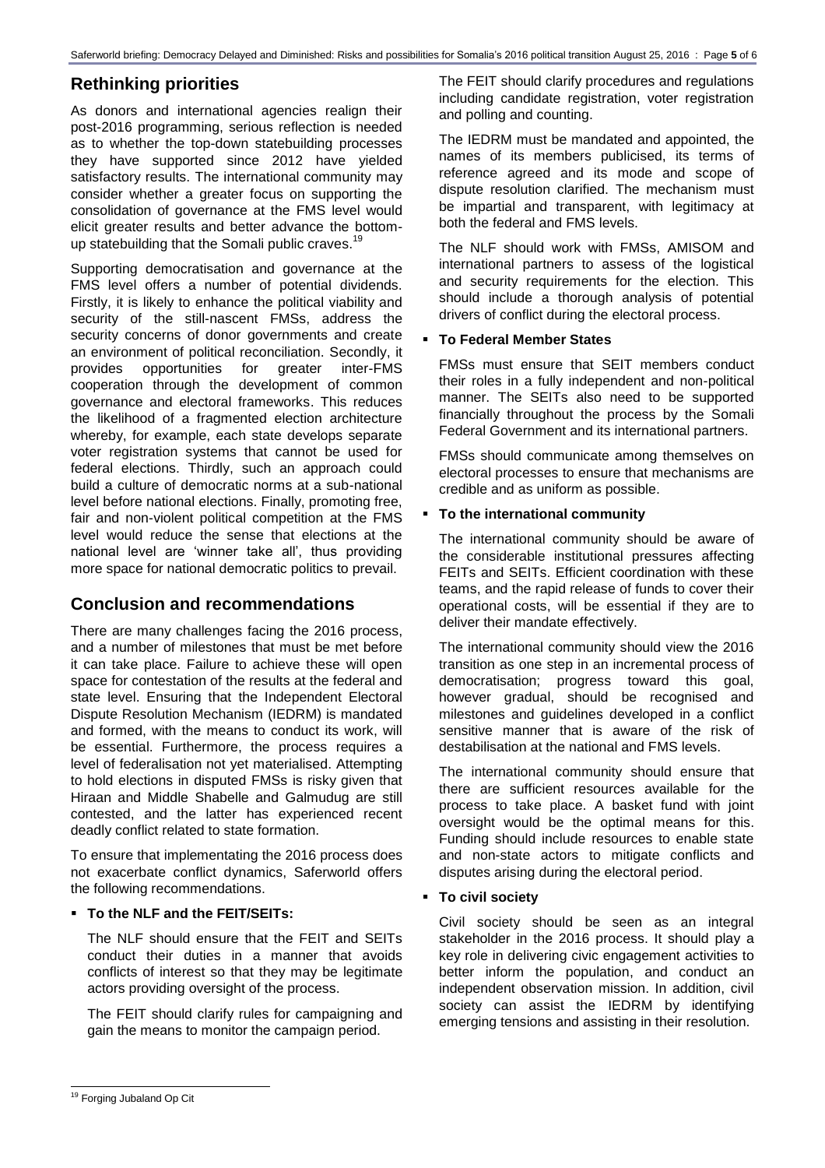### **Rethinking priorities**

As donors and international agencies realign their post-2016 programming, serious reflection is needed as to whether the top-down statebuilding processes they have supported since 2012 have yielded satisfactory results. The international community may consider whether a greater focus on supporting the consolidation of governance at the FMS level would elicit greater results and better advance the bottomup statebuilding that the Somali public craves.<sup>19</sup>

Supporting democratisation and governance at the FMS level offers a number of potential dividends. Firstly, it is likely to enhance the political viability and security of the still-nascent FMSs, address the security concerns of donor governments and create an environment of political reconciliation. Secondly, it provides opportunities for greater inter-FMS cooperation through the development of common governance and electoral frameworks. This reduces the likelihood of a fragmented election architecture whereby, for example, each state develops separate voter registration systems that cannot be used for federal elections. Thirdly, such an approach could build a culture of democratic norms at a sub-national level before national elections. Finally, promoting free, fair and non-violent political competition at the FMS level would reduce the sense that elections at the national level are 'winner take all', thus providing more space for national democratic politics to prevail.

#### **Conclusion and recommendations**

There are many challenges facing the 2016 process, and a number of milestones that must be met before it can take place. Failure to achieve these will open space for contestation of the results at the federal and state level. Ensuring that the Independent Electoral Dispute Resolution Mechanism (IEDRM) is mandated and formed, with the means to conduct its work, will be essential. Furthermore, the process requires a level of federalisation not yet materialised. Attempting to hold elections in disputed FMSs is risky given that Hiraan and Middle Shabelle and Galmudug are still contested, and the latter has experienced recent deadly conflict related to state formation.

To ensure that implementating the 2016 process does not exacerbate conflict dynamics, Saferworld offers the following recommendations.

#### **To the NLF and the FEIT/SEITs:**

The NLF should ensure that the FEIT and SEITs conduct their duties in a manner that avoids conflicts of interest so that they may be legitimate actors providing oversight of the process.

The FEIT should clarify rules for campaigning and gain the means to monitor the campaign period.

The FEIT should clarify procedures and regulations including candidate registration, voter registration and polling and counting.

The IEDRM must be mandated and appointed, the names of its members publicised, its terms of reference agreed and its mode and scope of dispute resolution clarified. The mechanism must be impartial and transparent, with legitimacy at both the federal and FMS levels.

The NLF should work with FMSs, AMISOM and international partners to assess of the logistical and security requirements for the election. This should include a thorough analysis of potential drivers of conflict during the electoral process.

#### **To Federal Member States**

FMSs must ensure that SEIT members conduct their roles in a fully independent and non-political manner. The SEITs also need to be supported financially throughout the process by the Somali Federal Government and its international partners.

FMSs should communicate among themselves on electoral processes to ensure that mechanisms are credible and as uniform as possible.

#### **To the international community**

The international community should be aware of the considerable institutional pressures affecting FEITs and SEITs. Efficient coordination with these teams, and the rapid release of funds to cover their operational costs, will be essential if they are to deliver their mandate effectively.

The international community should view the 2016 transition as one step in an incremental process of democratisation; progress toward this goal, however gradual, should be recognised and milestones and guidelines developed in a conflict sensitive manner that is aware of the risk of destabilisation at the national and FMS levels.

The international community should ensure that there are sufficient resources available for the process to take place. A basket fund with joint oversight would be the optimal means for this. Funding should include resources to enable state and non-state actors to mitigate conflicts and disputes arising during the electoral period.

#### **To civil society**

Civil society should be seen as an integral stakeholder in the 2016 process. It should play a key role in delivering civic engagement activities to better inform the population, and conduct an independent observation mission. In addition, civil society can assist the IEDRM by identifying emerging tensions and assisting in their resolution.

l

<sup>&</sup>lt;sup>19</sup> Forging Jubaland Op Cit